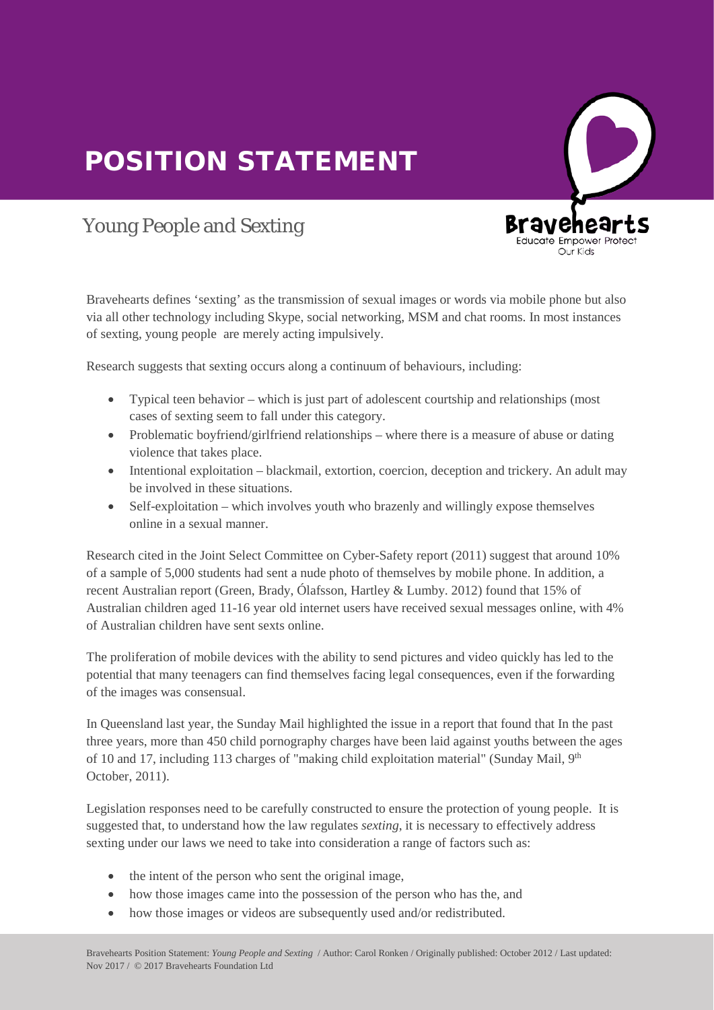## POSITION STATEMENT



## Young People and Sexting

Bravehearts defines 'sexting' as the transmission of sexual images or words via mobile phone but also via all other technology including Skype, social networking, MSM and chat rooms. In most instances of sexting, young people are merely acting impulsively.

Research suggests that sexting occurs along a continuum of behaviours, including:

- Typical teen behavior which is just part of adolescent courtship and relationships (most cases of sexting seem to fall under this category.
- Problematic boyfriend/girlfriend relationships where there is a measure of abuse or dating violence that takes place.
- Intentional exploitation blackmail, extortion, coercion, deception and trickery. An adult may be involved in these situations.
- Self-exploitation which involves youth who brazenly and willingly expose themselves online in a sexual manner.

Research cited in the Joint Select Committee on Cyber-Safety report (2011) suggest that around 10% of a sample of 5,000 students had sent a nude photo of themselves by mobile phone. In addition, a<br>recent Australian report (Green Bredy, Ólefsson Hertley, & Lumby, 2012) found that 15% of recent Australian report (Green, Brady, Ólafsson, Hartley & Lumby. 2012) found that 15% of Australian children aged 11-16 year old internet users have received sexual messages online, with 4% of Australian children have sent sexts online.

The proliferation of mobile devices with the ability to send pictures and video quickly has led to the potential that many teenagers can find themselves facing legal consequences, even if the forwarding potential that many teenagers of the images was consensual.

In Queensland last year, the Sunday Mail highlighted the issue in a report that found that In the past three years, more than 450 child pornography charges have been laid against youths between the ages of 10 and 17, including 113 charges of "making child exploitation material" (Sunday Mail, 9<sup>th</sup> October, 2011). October, 2011).

Legislation responses need to be carefully constructed to ensure the protection of young people. It is suggested that, to understand how the law regulates *sexting*, it is necessary to effectively address sexting under our laws we need to take into consideration a range of factors such as:

- the intent of the person who sent the original image,
- how those images came into the possession of the person who has the, and<br>• how those images or videos are subsequently used and/or redistributed
- how those images or videos are subsequently used and/or redistributed.